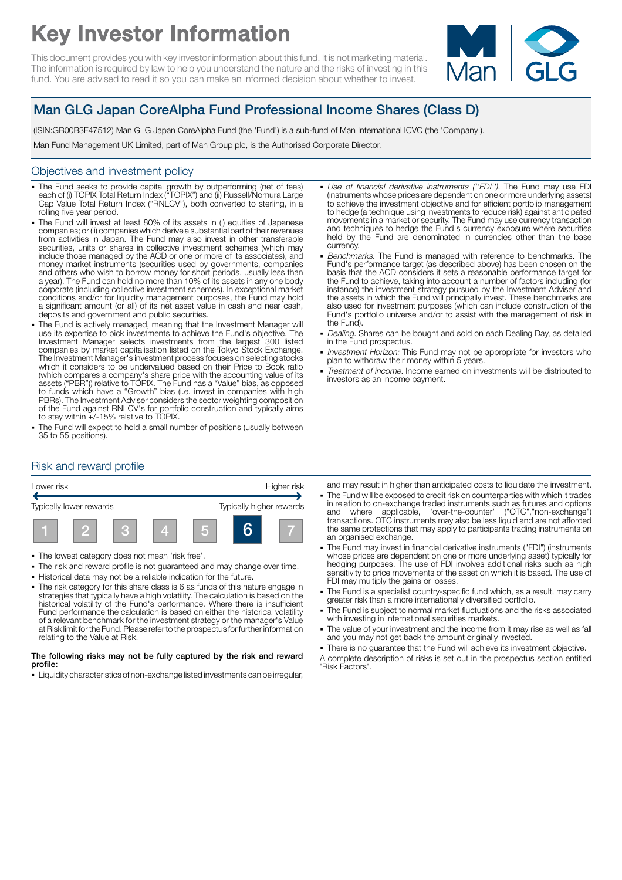# Key Investor Information

This document provides you with key investor information about this fund. It is not marketing material. The information is required by law to help you understand the nature and the risks of investing in this fund. You are advised to read it so you can make an informed decision about whether to invest.



# Man GLG Japan CoreAlpha Fund Professional Income Shares (Class D)

(ISIN:GB00B3F47512) Man GLG Japan CoreAlpha Fund (the 'Fund') is a sub-fund of Man International ICVC (the 'Company').

Man Fund Management UK Limited, part of Man Group plc, is the Authorised Corporate Director.

## Objectives and investment policy

- The Fund seeks to provide capital growth by outperforming (net of fees) each of (i) TOPIX Total Return Index ("TOPIX") and (ii) Russell/Nomura Large Cap Value Total Return Index ("RNLCV"), both converted to sterling, in a rolling five year period.
- The Fund will invest at least 80% of its assets in (i) equities of Japanese companies; or (ii) companies which derive a substantial part of their revenues from activities in Japan. The Fund may also invest in other transferable securities, units or shares in collective investment schemes (which may include those managed by the ACD or one or more of its associates), and money market instruments (securities used by governments, companies and others who wish to borrow money for short periods, usually less than a year). The Fund can hold no more than 10% of its assets in any one body corporate (including collective investment schemes). In exceptional market conditions and/or for liquidity management purposes, the Fund may hold a significant amount (or all) of its net asset value in cash and near cash, deposits and government and public securities.
- The Fund is actively managed, meaning that the Investment Manager will use its expertise to pick investments to achieve the Fund's objective. The Investment Manager selects investments from the largest 300 listed companies by market capitalisation listed on the Tokyo Stock Exchange. The Investment Manager's investment process focuses on selecting stocks which it considers to be undervalued based on their Price to Book ratio (which compares a company's share price with the accounting value of its assets ("PBR")) relative to TOPIX. The Fund has a "Value" bias, as opposed to funds which have a "Growth" bias (i.e. invest in companies with high PBRs). The Investment Adviser considers the sector weighting composition of the Fund against RNLCV's for portfolio construction and typically aims to stay within +/-15% relative to TOPIX.
- The Fund will expect to hold a small number of positions (usually between 35 to 55 positions).
- Use of financial derivative instruments ("FDI"). The Fund may use FDI (instruments whose prices are dependent on one or more underlying assets) to achieve the investment objective and for efficient portfolio management to hedge (a technique using investments to reduce risk) against anticipated movements in a market or security. The Fund may use currency transaction and techniques to hedge the Fund's currency exposure where securities held by the Fund are denominated in currencies other than the base currency.
- Benchmarks. The Fund is managed with reference to benchmarks. The Fund's performance target (as described above) has been chosen on the basis that the ACD considers it sets a reasonable performance target for the Fund to achieve, taking into account a number of factors including (for instance) the investment strategy pursued by the Investment Adviser and the assets in which the Fund will principally invest. These benchmarks are also used for investment purposes (which can include construction of the Fund's portfolio universe and/or to assist with the management of risk in the Fund).
- Dealing. Shares can be bought and sold on each Dealing Day, as detailed in the Fund prospectus.
- Investment Horizon: This Fund may not be appropriate for investors who plan to withdraw their money within 5 years.
- Treatment of income. Income earned on investments will be distributed to investors as an income payment.

# Risk and reward profile



- 1 The lowest category does not mean 'risk free'.
- The risk and reward profile is not guaranteed and may change over time.
- 1 Historical data may not be a reliable indication for the future.
- The risk category for this share class is 6 as funds of this nature engage in strategies that typically have a high volatility. The calculation is based on the historical volatility of the Fund's performance. Where there is insufficient Fund performance the calculation is based on either the historical volatility of a relevant benchmark for the investment strategy or the manager's Value at Risk limit for the Fund. Please refer to the prospectus for further information relating to the Value at Risk.

#### The following risks may not be fully captured by the risk and reward profile:

• Liquidity characteristics of non-exchange listed investments can be irregular,

and may result in higher than anticipated costs to liquidate the investment.

- The Fund will be exposed to credit risk on counterparties with which it trades in relation to on-exchange traded instruments such as futures and options and where applicable, 'over-the-counter' ("OTC","non-exchange") transactions. OTC instruments may also be less liquid and are not afforded the same protections that may apply to participants trading instruments on an organised exchange.
- The Fund may invest in financial derivative instruments ("FDI") (instruments whose prices are dependent on one or more underlying asset) typically for hedging purposes. The use of FDI involves additional risks such as high sensitivity to price movements of the asset on which it is based. The use of FDI may multiply the gains or losses.
- The Fund is a specialist country-specific fund which, as a result, may carry greater risk than a more internationally diversified portfolio.
- The Fund is subject to normal market fluctuations and the risks associated with investing in international securities markets.
- The value of your investment and the income from it may rise as well as fall and you may not get back the amount originally invested.
- There is no guarantee that the Fund will achieve its investment objective.
- A complete description of risks is set out in the prospectus section entitled 'Risk Factors'.